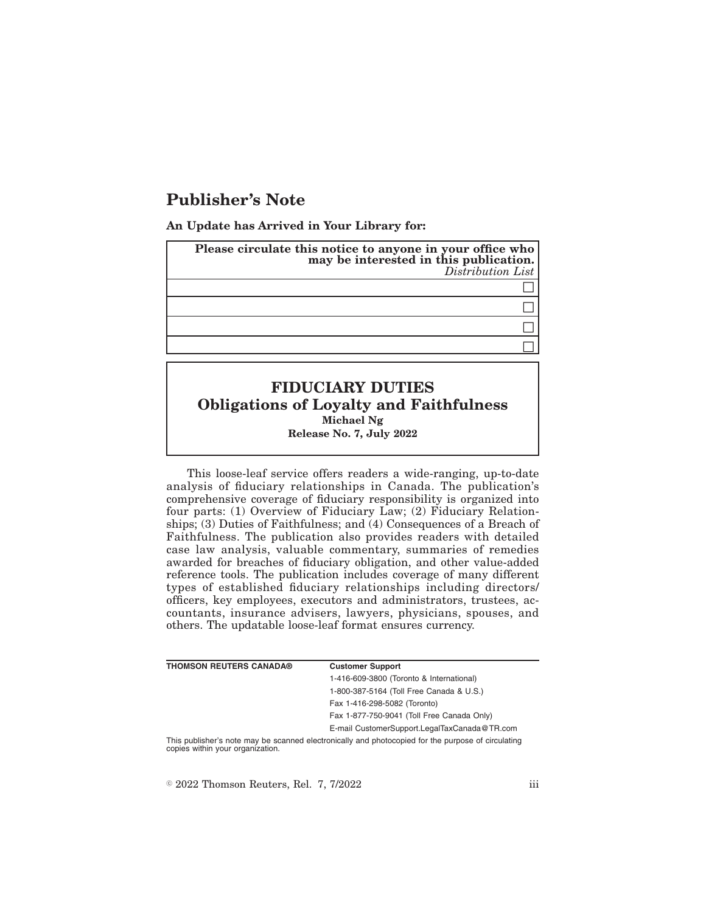## **Publisher's Note**

**An Update has Arrived in Your Library for:**

| Please circulate this notice to anyone in your office who<br>may be interested in this publication.<br>Distribution List |
|--------------------------------------------------------------------------------------------------------------------------|
|                                                                                                                          |
|                                                                                                                          |
|                                                                                                                          |
|                                                                                                                          |
|                                                                                                                          |

## **FIDUCIARY DUTIES Obligations of Loyalty and Faithfulness Michael Ng Release No. 7, July 2022**

This loose-leaf service offers readers a wide-ranging, up-to-date analysis of fiduciary relationships in Canada. The publication's comprehensive coverage of fiduciary responsibility is organized into four parts: (1) Overview of Fiduciary Law; (2) Fiduciary Relationships; (3) Duties of Faithfulness; and (4) Consequences of a Breach of Faithfulness. The publication also provides readers with detailed case law analysis, valuable commentary, summaries of remedies awarded for breaches of fiduciary obligation, and other value-added reference tools. The publication includes coverage of many different types of established fiduciary relationships including directors/ officers, key employees, executors and administrators, trustees, accountants, insurance advisers, lawyers, physicians, spouses, and others. The updatable loose-leaf format ensures currency.

| <b>THOMSON REUTERS CANADA®</b>   | <b>Customer Support</b>                                                                            |
|----------------------------------|----------------------------------------------------------------------------------------------------|
|                                  | 1-416-609-3800 (Toronto & International)                                                           |
|                                  | 1-800-387-5164 (Toll Free Canada & U.S.)                                                           |
|                                  | Fax 1-416-298-5082 (Toronto)                                                                       |
|                                  | Fax 1-877-750-9041 (Toll Free Canada Only)                                                         |
|                                  | E-mail CustomerSupport.LegalTaxCanada@TR.com                                                       |
| copies within your organization. | This publisher's note may be scanned electronically and photocopied for the purpose of circulating |

 $\textdegree$  2022 Thomson Reuters, Rel. 7, 7/2022 iii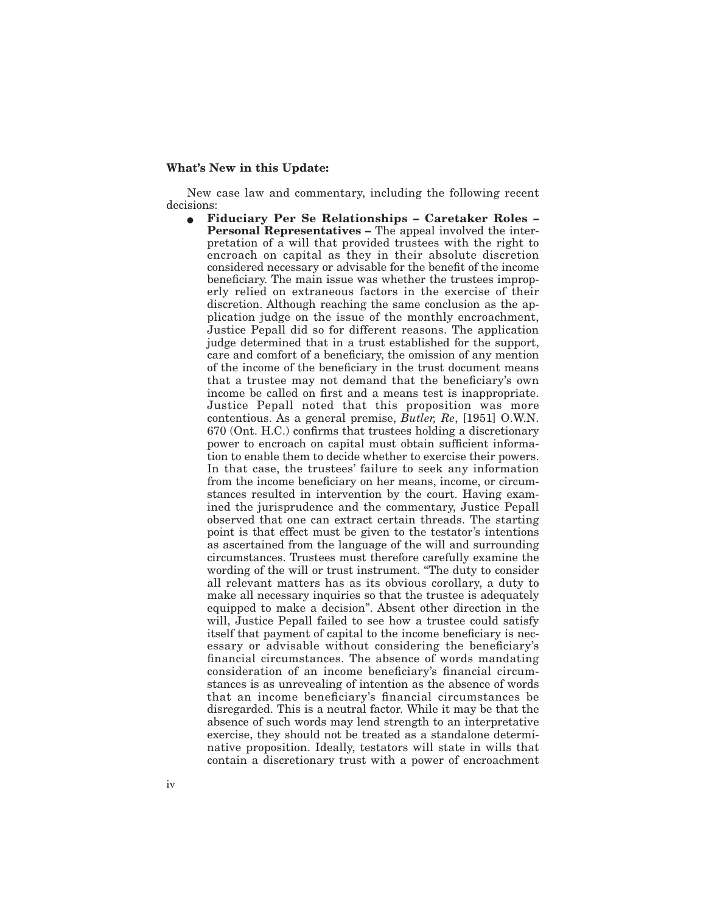## **What's New in this Update:**

New case law and commentary, including the following recent decisions:

E **Fiduciary Per Se Relationships – Caretaker Roles – Personal Representatives –** The appeal involved the interpretation of a will that provided trustees with the right to encroach on capital as they in their absolute discretion considered necessary or advisable for the benefit of the income beneficiary. The main issue was whether the trustees improperly relied on extraneous factors in the exercise of their discretion. Although reaching the same conclusion as the application judge on the issue of the monthly encroachment, Justice Pepall did so for different reasons. The application judge determined that in a trust established for the support, care and comfort of a beneficiary, the omission of any mention of the income of the beneficiary in the trust document means that a trustee may not demand that the beneficiary's own income be called on first and a means test is inappropriate. Justice Pepall noted that this proposition was more contentious. As a general premise, *Butler, Re*, [1951] O.W.N. 670 (Ont. H.C.) confirms that trustees holding a discretionary power to encroach on capital must obtain sufficient information to enable them to decide whether to exercise their powers. In that case, the trustees' failure to seek any information from the income beneficiary on her means, income, or circumstances resulted in intervention by the court. Having examined the jurisprudence and the commentary, Justice Pepall observed that one can extract certain threads. The starting point is that effect must be given to the testator's intentions as ascertained from the language of the will and surrounding circumstances. Trustees must therefore carefully examine the wording of the will or trust instrument. "The duty to consider all relevant matters has as its obvious corollary, a duty to make all necessary inquiries so that the trustee is adequately equipped to make a decision". Absent other direction in the will, Justice Pepall failed to see how a trustee could satisfy itself that payment of capital to the income beneficiary is necessary or advisable without considering the beneficiary's financial circumstances. The absence of words mandating consideration of an income beneficiary's financial circumstances is as unrevealing of intention as the absence of words that an income beneficiary's financial circumstances be disregarded. This is a neutral factor. While it may be that the absence of such words may lend strength to an interpretative exercise, they should not be treated as a standalone determinative proposition. Ideally, testators will state in wills that contain a discretionary trust with a power of encroachment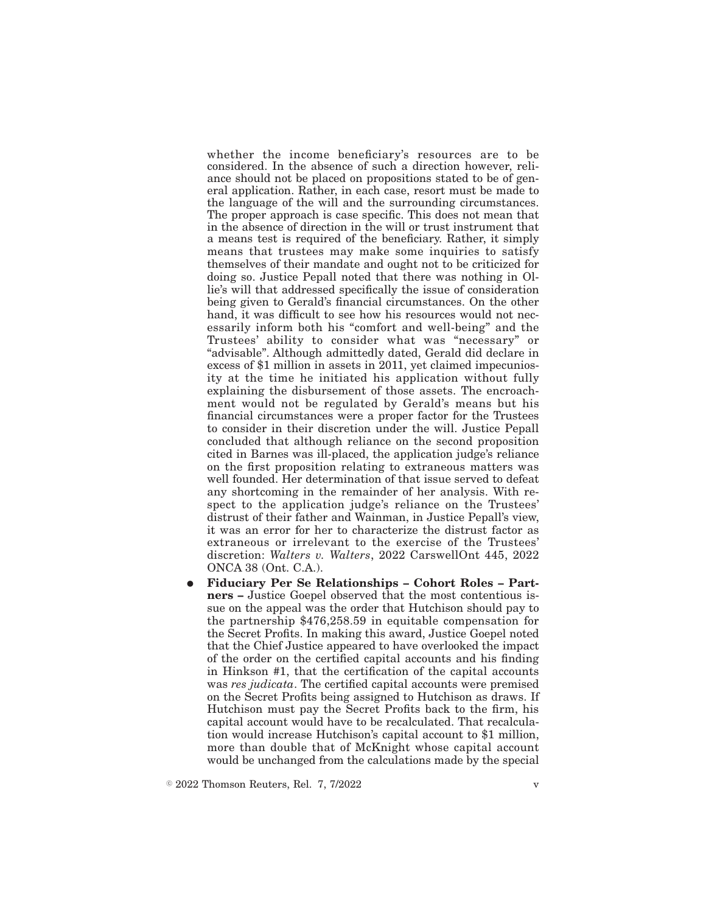whether the income beneficiary's resources are to be considered. In the absence of such a direction however, reliance should not be placed on propositions stated to be of general application. Rather, in each case, resort must be made to the language of the will and the surrounding circumstances. The proper approach is case specific. This does not mean that in the absence of direction in the will or trust instrument that a means test is required of the beneficiary. Rather, it simply means that trustees may make some inquiries to satisfy themselves of their mandate and ought not to be criticized for doing so. Justice Pepall noted that there was nothing in Ollie's will that addressed specifically the issue of consideration being given to Gerald's financial circumstances. On the other hand, it was difficult to see how his resources would not necessarily inform both his "comfort and well-being" and the Trustees' ability to consider what was "necessary" or "advisable". Although admittedly dated, Gerald did declare in excess of \$1 million in assets in 2011, yet claimed impecuniosity at the time he initiated his application without fully explaining the disbursement of those assets. The encroachment would not be regulated by Gerald's means but his financial circumstances were a proper factor for the Trustees to consider in their discretion under the will. Justice Pepall concluded that although reliance on the second proposition cited in Barnes was ill-placed, the application judge's reliance on the first proposition relating to extraneous matters was well founded. Her determination of that issue served to defeat any shortcoming in the remainder of her analysis. With respect to the application judge's reliance on the Trustees' distrust of their father and Wainman, in Justice Pepall's view, it was an error for her to characterize the distrust factor as extraneous or irrelevant to the exercise of the Trustees' discretion: *Walters v. Walters*, 2022 CarswellOnt 445, 2022 ONCA 38 (Ont. C.A.).

E **Fiduciary Per Se Relationships – Cohort Roles – Partners –** Justice Goepel observed that the most contentious issue on the appeal was the order that Hutchison should pay to the partnership \$476,258.59 in equitable compensation for the Secret Profits. In making this award, Justice Goepel noted that the Chief Justice appeared to have overlooked the impact of the order on the certified capital accounts and his finding in Hinkson #1, that the certification of the capital accounts was *res judicata*. The certified capital accounts were premised on the Secret Profits being assigned to Hutchison as draws. If Hutchison must pay the Secret Profits back to the firm, his capital account would have to be recalculated. That recalculation would increase Hutchison's capital account to \$1 million, more than double that of McKnight whose capital account would be unchanged from the calculations made by the special

 $\degree$  2022 Thomson Reuters, Rel. 7, 7/2022 v